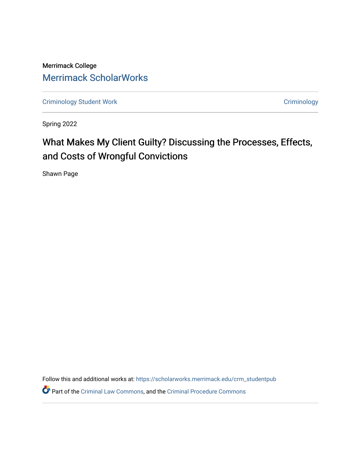Merrimack College [Merrimack ScholarWorks](https://scholarworks.merrimack.edu/) 

[Criminology Student Work](https://scholarworks.merrimack.edu/crm_studentpub) **Criminology** Criminology

Spring 2022

# What Makes My Client Guilty? Discussing the Processes, Effects, and Costs of Wrongful Convictions

Shawn Page

Follow this and additional works at: [https://scholarworks.merrimack.edu/crm\\_studentpub](https://scholarworks.merrimack.edu/crm_studentpub?utm_source=scholarworks.merrimack.edu%2Fcrm_studentpub%2F43&utm_medium=PDF&utm_campaign=PDFCoverPages) 

Part of the [Criminal Law Commons,](https://network.bepress.com/hgg/discipline/912?utm_source=scholarworks.merrimack.edu%2Fcrm_studentpub%2F43&utm_medium=PDF&utm_campaign=PDFCoverPages) and the [Criminal Procedure Commons](https://network.bepress.com/hgg/discipline/1073?utm_source=scholarworks.merrimack.edu%2Fcrm_studentpub%2F43&utm_medium=PDF&utm_campaign=PDFCoverPages)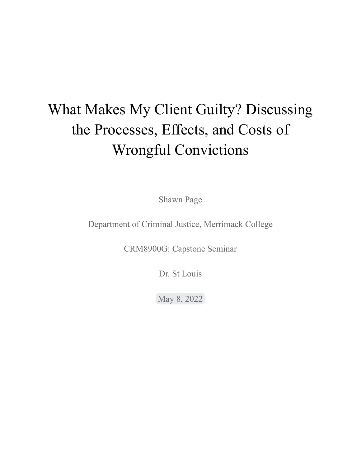# What Makes My Client Guilty? Discussing the Processes, Effects, and Costs of Wrongful Convictions

Shawn Page

Department of Criminal Justice, Merrimack College

CRM8900G: Capstone Seminar

Dr. St Louis

May 8, 2022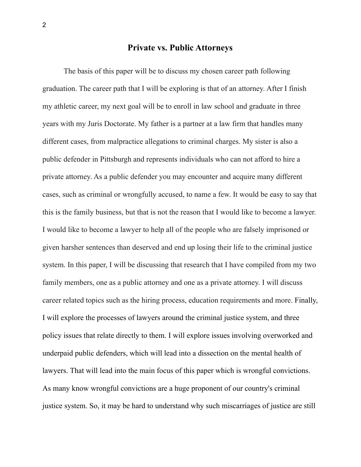#### **Private vs. Public Attorneys**

The basis of this paper will be to discuss my chosen career path following graduation. The career path that I will be exploring is that of an attorney. After I finish my athletic career, my next goal will be to enroll in law school and graduate in three years with my Juris Doctorate. My father is a partner at a law firm that handles many different cases, from malpractice allegations to criminal charges. My sister is also a public defender in Pittsburgh and represents individuals who can not afford to hire a private attorney. As a public defender you may encounter and acquire many different cases, such as criminal or wrongfully accused, to name a few. It would be easy to say that this is the family business, but that is not the reason that I would like to become a lawyer. I would like to become a lawyer to help all of the people who are falsely imprisoned or given harsher sentences than deserved and end up losing their life to the criminal justice system. In this paper, I will be discussing that research that I have compiled from my two family members, one as a public attorney and one as a private attorney. I will discuss career related topics such as the hiring process, education requirements and more. Finally, I will explore the processes of lawyers around the criminal justice system, and three policy issues that relate directly to them. I will explore issues involving overworked and underpaid public defenders, which will lead into a dissection on the mental health of lawyers. That will lead into the main focus of this paper which is wrongful convictions. As many know wrongful convictions are a huge proponent of our country's criminal justice system. So, it may be hard to understand why such miscarriages of justice are still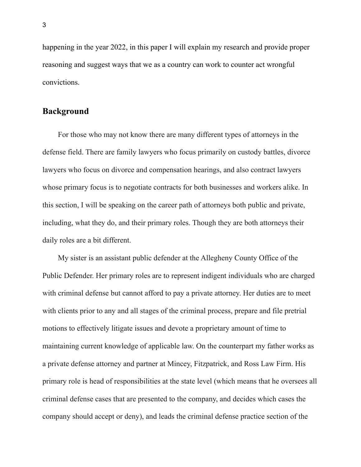happening in the year 2022, in this paper I will explain my research and provide proper reasoning and suggest ways that we as a country can work to counter act wrongful convictions.

#### **Background**

For those who may not know there are many different types of attorneys in the defense field. There are family lawyers who focus primarily on custody battles, divorce lawyers who focus on divorce and compensation hearings, and also contract lawyers whose primary focus is to negotiate contracts for both businesses and workers alike. In this section, I will be speaking on the career path of attorneys both public and private, including, what they do, and their primary roles. Though they are both attorneys their daily roles are a bit different.

My sister is an assistant public defender at the Allegheny County Office of the Public Defender. Her primary roles are to represent indigent individuals who are charged with criminal defense but cannot afford to pay a private attorney. Her duties are to meet with clients prior to any and all stages of the criminal process, prepare and file pretrial motions to effectively litigate issues and devote a proprietary amount of time to maintaining current knowledge of applicable law. On the counterpart my father works as a private defense attorney and partner at Mincey, Fitzpatrick, and Ross Law Firm. His primary role is head of responsibilities at the state level (which means that he oversees all criminal defense cases that are presented to the company, and decides which cases the company should accept or deny), and leads the criminal defense practice section of the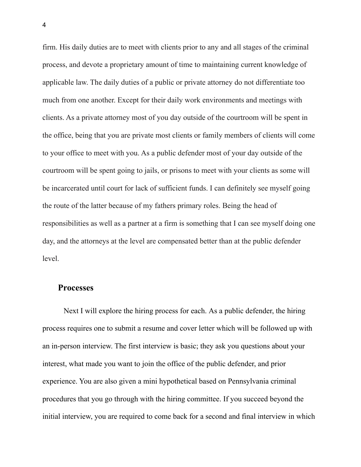firm. His daily duties are to meet with clients prior to any and all stages of the criminal process, and devote a proprietary amount of time to maintaining current knowledge of applicable law. The daily duties of a public or private attorney do not differentiate too much from one another. Except for their daily work environments and meetings with clients. As a private attorney most of you day outside of the courtroom will be spent in the office, being that you are private most clients or family members of clients will come to your office to meet with you. As a public defender most of your day outside of the courtroom will be spent going to jails, or prisons to meet with your clients as some will be incarcerated until court for lack of sufficient funds. I can definitely see myself going the route of the latter because of my fathers primary roles. Being the head of responsibilities as well as a partner at a firm is something that I can see myself doing one day, and the attorneys at the level are compensated better than at the public defender level.

#### **Processes**

Next I will explore the hiring process for each. As a public defender, the hiring process requires one to submit a resume and cover letter which will be followed up with an in-person interview. The first interview is basic; they ask you questions about your interest, what made you want to join the office of the public defender, and prior experience. You are also given a mini hypothetical based on Pennsylvania criminal procedures that you go through with the hiring committee. If you succeed beyond the initial interview, you are required to come back for a second and final interview in which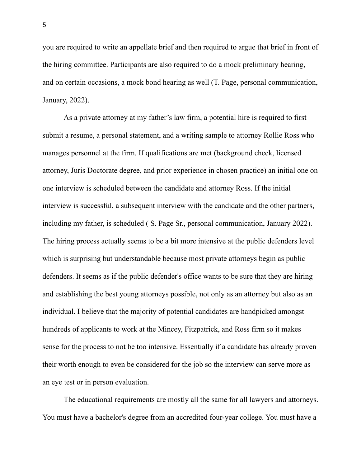you are required to write an appellate brief and then required to argue that brief in front of the hiring committee. Participants are also required to do a mock preliminary hearing, and on certain occasions, a mock bond hearing as well (T. Page, personal communication, January, 2022).

As a private attorney at my father's law firm, a potential hire is required to first submit a resume, a personal statement, and a writing sample to attorney Rollie Ross who manages personnel at the firm. If qualifications are met (background check, licensed attorney, Juris Doctorate degree, and prior experience in chosen practice) an initial one on one interview is scheduled between the candidate and attorney Ross. If the initial interview is successful, a subsequent interview with the candidate and the other partners, including my father, is scheduled ( S. Page Sr., personal communication, January 2022). The hiring process actually seems to be a bit more intensive at the public defenders level which is surprising but understandable because most private attorneys begin as public defenders. It seems as if the public defender's office wants to be sure that they are hiring and establishing the best young attorneys possible, not only as an attorney but also as an individual. I believe that the majority of potential candidates are handpicked amongst hundreds of applicants to work at the Mincey, Fitzpatrick, and Ross firm so it makes sense for the process to not be too intensive. Essentially if a candidate has already proven their worth enough to even be considered for the job so the interview can serve more as an eye test or in person evaluation.

The educational requirements are mostly all the same for all lawyers and attorneys. You must have a bachelor's degree from an accredited four-year college. You must have a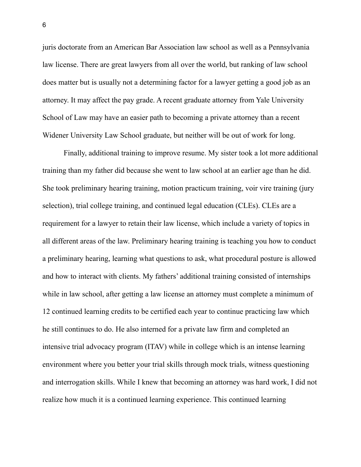juris doctorate from an American Bar Association law school as well as a Pennsylvania law license. There are great lawyers from all over the world, but ranking of law school does matter but is usually not a determining factor for a lawyer getting a good job as an attorney. It may affect the pay grade. A recent graduate attorney from Yale University School of Law may have an easier path to becoming a private attorney than a recent Widener University Law School graduate, but neither will be out of work for long.

Finally, additional training to improve resume. My sister took a lot more additional training than my father did because she went to law school at an earlier age than he did. She took preliminary hearing training, motion practicum training, voir vire training (jury selection), trial college training, and continued legal education (CLEs). CLEs are a requirement for a lawyer to retain their law license, which include a variety of topics in all different areas of the law. Preliminary hearing training is teaching you how to conduct a preliminary hearing, learning what questions to ask, what procedural posture is allowed and how to interact with clients. My fathers' additional training consisted of internships while in law school, after getting a law license an attorney must complete a minimum of 12 continued learning credits to be certified each year to continue practicing law which he still continues to do. He also interned for a private law firm and completed an intensive trial advocacy program (ITAV) while in college which is an intense learning environment where you better your trial skills through mock trials, witness questioning and interrogation skills. While I knew that becoming an attorney was hard work, I did not realize how much it is a continued learning experience. This continued learning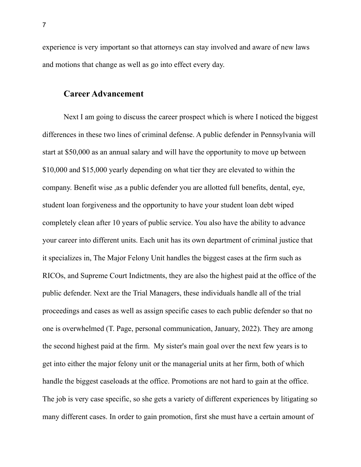experience is very important so that attorneys can stay involved and aware of new laws and motions that change as well as go into effect every day.

#### **Career Advancement**

Next I am going to discuss the career prospect which is where I noticed the biggest differences in these two lines of criminal defense. A public defender in Pennsylvania will start at \$50,000 as an annual salary and will have the opportunity to move up between \$10,000 and \$15,000 yearly depending on what tier they are elevated to within the company. Benefit wise ,as a public defender you are allotted full benefits, dental, eye, student loan forgiveness and the opportunity to have your student loan debt wiped completely clean after 10 years of public service. You also have the ability to advance your career into different units. Each unit has its own department of criminal justice that it specializes in, The Major Felony Unit handles the biggest cases at the firm such as RICOs, and Supreme Court Indictments, they are also the highest paid at the office of the public defender. Next are the Trial Managers, these individuals handle all of the trial proceedings and cases as well as assign specific cases to each public defender so that no one is overwhelmed (T. Page, personal communication, January, 2022). They are among the second highest paid at the firm. My sister's main goal over the next few years is to get into either the major felony unit or the managerial units at her firm, both of which handle the biggest caseloads at the office. Promotions are not hard to gain at the office. The job is very case specific, so she gets a variety of different experiences by litigating so many different cases. In order to gain promotion, first she must have a certain amount of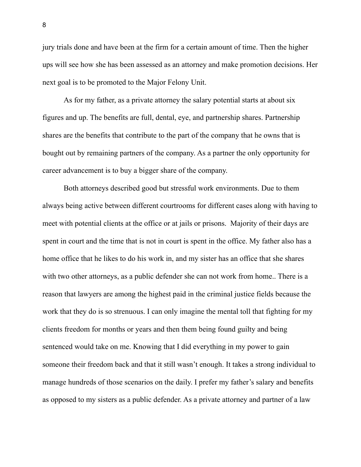jury trials done and have been at the firm for a certain amount of time. Then the higher ups will see how she has been assessed as an attorney and make promotion decisions. Her next goal is to be promoted to the Major Felony Unit.

As for my father, as a private attorney the salary potential starts at about six figures and up. The benefits are full, dental, eye, and partnership shares. Partnership shares are the benefits that contribute to the part of the company that he owns that is bought out by remaining partners of the company. As a partner the only opportunity for career advancement is to buy a bigger share of the company.

Both attorneys described good but stressful work environments. Due to them always being active between different courtrooms for different cases along with having to meet with potential clients at the office or at jails or prisons. Majority of their days are spent in court and the time that is not in court is spent in the office. My father also has a home office that he likes to do his work in, and my sister has an office that she shares with two other attorneys, as a public defender she can not work from home.. There is a reason that lawyers are among the highest paid in the criminal justice fields because the work that they do is so strenuous. I can only imagine the mental toll that fighting for my clients freedom for months or years and then them being found guilty and being sentenced would take on me. Knowing that I did everything in my power to gain someone their freedom back and that it still wasn't enough. It takes a strong individual to manage hundreds of those scenarios on the daily. I prefer my father's salary and benefits as opposed to my sisters as a public defender. As a private attorney and partner of a law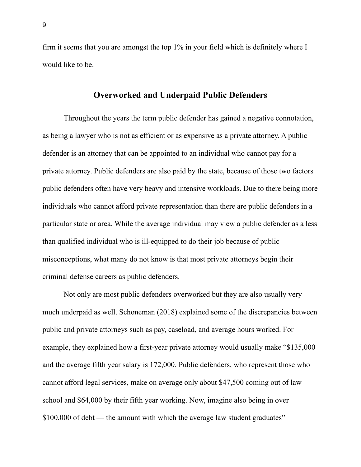firm it seems that you are amongst the top 1% in your field which is definitely where I would like to be.

#### **Overworked and Underpaid Public Defenders**

Throughout the years the term public defender has gained a negative connotation, as being a lawyer who is not as efficient or as expensive as a private attorney. A public defender is an attorney that can be appointed to an individual who cannot pay for a private attorney. Public defenders are also paid by the state, because of those two factors public defenders often have very heavy and intensive workloads. Due to there being more individuals who cannot afford private representation than there are public defenders in a particular state or area. While the average individual may view a public defender as a less than qualified individual who is ill-equipped to do their job because of public misconceptions, what many do not know is that most private attorneys begin their criminal defense careers as public defenders.

Not only are most public defenders overworked but they are also usually very much underpaid as well. Schoneman (2018) explained some of the discrepancies between public and private attorneys such as pay, caseload, and average hours worked. For example, they explained how a first-year private attorney would usually make "\$135,000 and the average fifth year salary is 172,000. Public defenders, who represent those who cannot afford legal services, make on average only about \$47,500 coming out of law school and \$64,000 by their fifth year working. Now, imagine also being in over \$100,000 of debt — the amount with which the average law student graduates"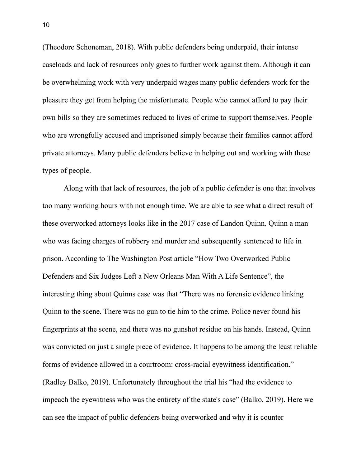(Theodore Schoneman, 2018). With public defenders being underpaid, their intense caseloads and lack of resources only goes to further work against them. Although it can be overwhelming work with very underpaid wages many public defenders work for the pleasure they get from helping the misfortunate. People who cannot afford to pay their own bills so they are sometimes reduced to lives of crime to support themselves. People who are wrongfully accused and imprisoned simply because their families cannot afford private attorneys. Many public defenders believe in helping out and working with these types of people.

Along with that lack of resources, the job of a public defender is one that involves too many working hours with not enough time. We are able to see what a direct result of these overworked attorneys looks like in the 2017 case of Landon Quinn. Quinn a man who was facing charges of robbery and murder and subsequently sentenced to life in prison. According to The Washington Post article "How Two Overworked Public Defenders and Six Judges Left a New Orleans Man With A Life Sentence", the interesting thing about Quinns case was that "There was no forensic evidence linking Quinn to the scene. There was no gun to tie him to the crime. Police never found his fingerprints at the scene, and there was no gunshot residue on his hands. Instead, Quinn was convicted on just a single piece of evidence. It happens to be among the least reliable forms of evidence allowed in a courtroom: cross-racial eyewitness identification." (Radley Balko, 2019). Unfortunately throughout the trial his "had the evidence to impeach the eyewitness who was the entirety of the state's case" (Balko, 2019). Here we can see the impact of public defenders being overworked and why it is counter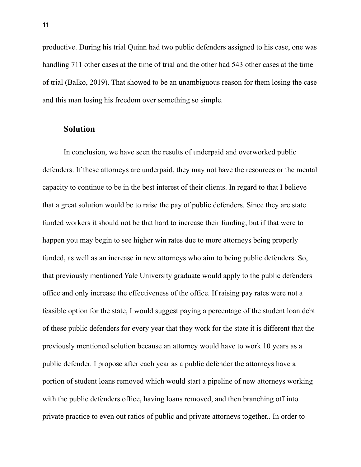productive. During his trial Quinn had two public defenders assigned to his case, one was handling 711 other cases at the time of trial and the other had 543 other cases at the time of trial (Balko, 2019). That showed to be an unambiguous reason for them losing the case and this man losing his freedom over something so simple.

#### **Solution**

In conclusion, we have seen the results of underpaid and overworked public defenders. If these attorneys are underpaid, they may not have the resources or the mental capacity to continue to be in the best interest of their clients. In regard to that I believe that a great solution would be to raise the pay of public defenders. Since they are state funded workers it should not be that hard to increase their funding, but if that were to happen you may begin to see higher win rates due to more attorneys being properly funded, as well as an increase in new attorneys who aim to being public defenders. So, that previously mentioned Yale University graduate would apply to the public defenders office and only increase the effectiveness of the office. If raising pay rates were not a feasible option for the state, I would suggest paying a percentage of the student loan debt of these public defenders for every year that they work for the state it is different that the previously mentioned solution because an attorney would have to work 10 years as a public defender. I propose after each year as a public defender the attorneys have a portion of student loans removed which would start a pipeline of new attorneys working with the public defenders office, having loans removed, and then branching off into private practice to even out ratios of public and private attorneys together.. In order to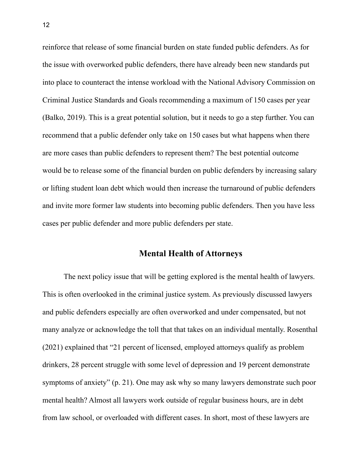reinforce that release of some financial burden on state funded public defenders. As for the issue with overworked public defenders, there have already been new standards put into place to counteract the intense workload with the National Advisory Commission on Criminal Justice Standards and Goals recommending a maximum of 150 cases per year (Balko, 2019). This is a great potential solution, but it needs to go a step further. You can recommend that a public defender only take on 150 cases but what happens when there are more cases than public defenders to represent them? The best potential outcome would be to release some of the financial burden on public defenders by increasing salary or lifting student loan debt which would then increase the turnaround of public defenders and invite more former law students into becoming public defenders. Then you have less cases per public defender and more public defenders per state.

# **Mental Health of Attorneys**

The next policy issue that will be getting explored is the mental health of lawyers. This is often overlooked in the criminal justice system. As previously discussed lawyers and public defenders especially are often overworked and under compensated, but not many analyze or acknowledge the toll that that takes on an individual mentally. Rosenthal (2021) explained that "21 percent of licensed, employed attorneys qualify as problem drinkers, 28 percent struggle with some level of depression and 19 percent demonstrate symptoms of anxiety" (p. 21). One may ask why so many lawyers demonstrate such poor mental health? Almost all lawyers work outside of regular business hours, are in debt from law school, or overloaded with different cases. In short, most of these lawyers are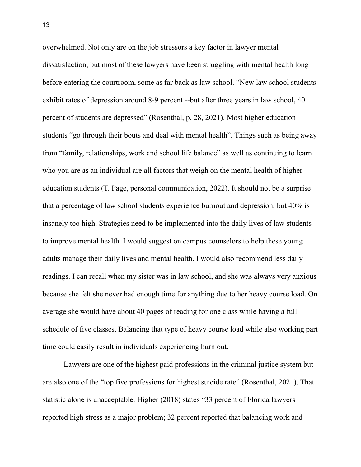overwhelmed. Not only are on the job stressors a key factor in lawyer mental dissatisfaction, but most of these lawyers have been struggling with mental health long before entering the courtroom, some as far back as law school. "New law school students exhibit rates of depression around 8-9 percent --but after three years in law school, 40 percent of students are depressed" (Rosenthal, p. 28, 2021). Most higher education students "go through their bouts and deal with mental health". Things such as being away from "family, relationships, work and school life balance" as well as continuing to learn who you are as an individual are all factors that weigh on the mental health of higher education students (T. Page, personal communication, 2022). It should not be a surprise that a percentage of law school students experience burnout and depression, but 40% is insanely too high. Strategies need to be implemented into the daily lives of law students to improve mental health. I would suggest on campus counselors to help these young adults manage their daily lives and mental health. I would also recommend less daily readings. I can recall when my sister was in law school, and she was always very anxious because she felt she never had enough time for anything due to her heavy course load. On average she would have about 40 pages of reading for one class while having a full schedule of five classes. Balancing that type of heavy course load while also working part time could easily result in individuals experiencing burn out.

Lawyers are one of the highest paid professions in the criminal justice system but are also one of the "top five professions for highest suicide rate" (Rosenthal, 2021). That statistic alone is unacceptable. Higher (2018) states "33 percent of Florida lawyers reported high stress as a major problem; 32 percent reported that balancing work and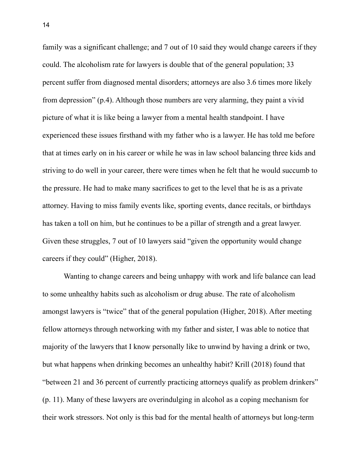family was a significant challenge; and 7 out of 10 said they would change careers if they could. The alcoholism rate for lawyers is double that of the general population; 33 percent suffer from diagnosed mental disorders; attorneys are also 3.6 times more likely from depression" (p.4). Although those numbers are very alarming, they paint a vivid picture of what it is like being a lawyer from a mental health standpoint. I have experienced these issues firsthand with my father who is a lawyer. He has told me before that at times early on in his career or while he was in law school balancing three kids and striving to do well in your career, there were times when he felt that he would succumb to the pressure. He had to make many sacrifices to get to the level that he is as a private attorney. Having to miss family events like, sporting events, dance recitals, or birthdays has taken a toll on him, but he continues to be a pillar of strength and a great lawyer. Given these struggles, 7 out of 10 lawyers said "given the opportunity would change careers if they could" (Higher, 2018).

Wanting to change careers and being unhappy with work and life balance can lead to some unhealthy habits such as alcoholism or drug abuse. The rate of alcoholism amongst lawyers is "twice" that of the general population (Higher, 2018). After meeting fellow attorneys through networking with my father and sister, I was able to notice that majority of the lawyers that I know personally like to unwind by having a drink or two, but what happens when drinking becomes an unhealthy habit? Krill (2018) found that "between 21 and 36 percent of currently practicing attorneys qualify as problem drinkers" (p. 11). Many of these lawyers are overindulging in alcohol as a coping mechanism for their work stressors. Not only is this bad for the mental health of attorneys but long-term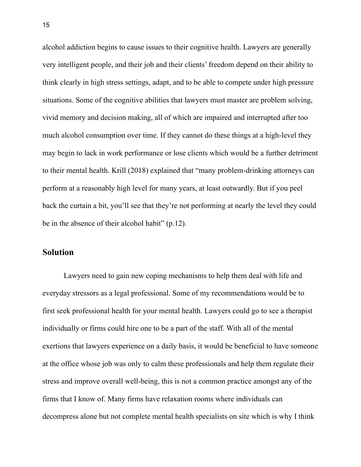alcohol addiction begins to cause issues to their cognitive health. Lawyers are generally very intelligent people, and their job and their clients' freedom depend on their ability to think clearly in high stress settings, adapt, and to be able to compete under high pressure situations. Some of the cognitive abilities that lawyers must master are problem solving, vivid memory and decision making, all of which are impaired and interrupted after too much alcohol consumption over time. If they cannot do these things at a high-level they may begin to lack in work performance or lose clients which would be a further detriment to their mental health. Krill (2018) explained that "many problem-drinking attorneys can perform at a reasonably high level for many years, at least outwardly. But if you peel back the curtain a bit, you'll see that they're not performing at nearly the level they could be in the absence of their alcohol habit" (p.12).

# **Solution**

Lawyers need to gain new coping mechanisms to help them deal with life and everyday stressors as a legal professional. Some of my recommendations would be to first seek professional health for your mental health. Lawyers could go to see a therapist individually or firms could hire one to be a part of the staff. With all of the mental exertions that lawyers experience on a daily basis, it would be beneficial to have someone at the office whose job was only to calm these professionals and help them regulate their stress and improve overall well-being, this is not a common practice amongst any of the firms that I know of. Many firms have relaxation rooms where individuals can decompress alone but not complete mental health specialists on site which is why I think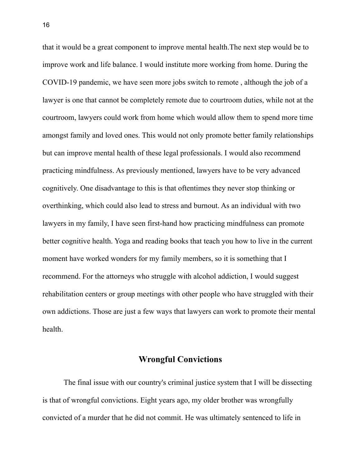that it would be a great component to improve mental health.The next step would be to improve work and life balance. I would institute more working from home. During the COVID-19 pandemic, we have seen more jobs switch to remote , although the job of a lawyer is one that cannot be completely remote due to courtroom duties, while not at the courtroom, lawyers could work from home which would allow them to spend more time amongst family and loved ones. This would not only promote better family relationships but can improve mental health of these legal professionals. I would also recommend practicing mindfulness. As previously mentioned, lawyers have to be very advanced cognitively. One disadvantage to this is that oftentimes they never stop thinking or overthinking, which could also lead to stress and burnout. As an individual with two lawyers in my family, I have seen first-hand how practicing mindfulness can promote better cognitive health. Yoga and reading books that teach you how to live in the current moment have worked wonders for my family members, so it is something that I recommend. For the attorneys who struggle with alcohol addiction, I would suggest rehabilitation centers or group meetings with other people who have struggled with their own addictions. Those are just a few ways that lawyers can work to promote their mental health.

### **Wrongful Convictions**

The final issue with our country's criminal justice system that I will be dissecting is that of wrongful convictions. Eight years ago, my older brother was wrongfully convicted of a murder that he did not commit. He was ultimately sentenced to life in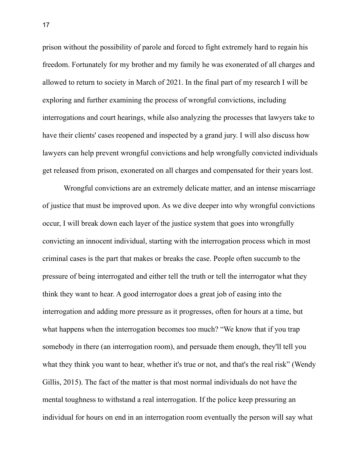prison without the possibility of parole and forced to fight extremely hard to regain his freedom. Fortunately for my brother and my family he was exonerated of all charges and allowed to return to society in March of 2021. In the final part of my research I will be exploring and further examining the process of wrongful convictions, including interrogations and court hearings, while also analyzing the processes that lawyers take to have their clients' cases reopened and inspected by a grand jury. I will also discuss how lawyers can help prevent wrongful convictions and help wrongfully convicted individuals get released from prison, exonerated on all charges and compensated for their years lost.

Wrongful convictions are an extremely delicate matter, and an intense miscarriage of justice that must be improved upon. As we dive deeper into why wrongful convictions occur, I will break down each layer of the justice system that goes into wrongfully convicting an innocent individual, starting with the interrogation process which in most criminal cases is the part that makes or breaks the case. People often succumb to the pressure of being interrogated and either tell the truth or tell the interrogator what they think they want to hear. A good interrogator does a great job of easing into the interrogation and adding more pressure as it progresses, often for hours at a time, but what happens when the interrogation becomes too much? "We know that if you trap somebody in there (an interrogation room), and persuade them enough, they'll tell you what they think you want to hear, whether it's true or not, and that's the real risk" (Wendy Gillis, 2015). The fact of the matter is that most normal individuals do not have the mental toughness to withstand a real interrogation. If the police keep pressuring an individual for hours on end in an interrogation room eventually the person will say what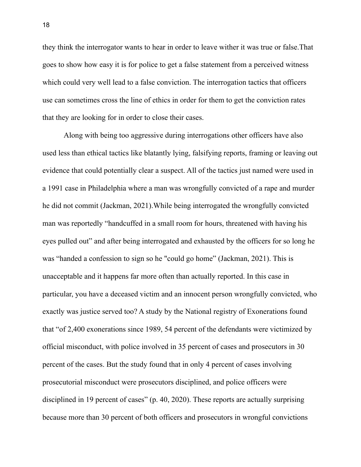they think the interrogator wants to hear in order to leave wither it was true or false.That goes to show how easy it is for police to get a false statement from a perceived witness which could very well lead to a false conviction. The interrogation tactics that officers use can sometimes cross the line of ethics in order for them to get the conviction rates that they are looking for in order to close their cases.

Along with being too aggressive during interrogations other officers have also used less than ethical tactics like blatantly lying, falsifying reports, framing or leaving out evidence that could potentially clear a suspect. All of the tactics just named were used in a 1991 case in Philadelphia where a man was wrongfully convicted of a rape and murder he did not commit (Jackman, 2021).While being interrogated the wrongfully convicted man was reportedly "handcuffed in a small room for hours, threatened with having his eyes pulled out" and after being interrogated and exhausted by the officers for so long he was "handed a confession to sign so he "could go home" (Jackman, 2021). This is unacceptable and it happens far more often than actually reported. In this case in particular, you have a deceased victim and an innocent person wrongfully convicted, who exactly was justice served too? A study by the National registry of Exonerations found that "of 2,400 exonerations since 1989, 54 percent of the defendants were victimized by official misconduct, with police involved in 35 percent of cases and prosecutors in 30 percent of the cases. But the study found that in only 4 percent of cases involving prosecutorial misconduct were prosecutors disciplined, and police officers were disciplined in 19 percent of cases" (p. 40, 2020). These reports are actually surprising because more than 30 percent of both officers and prosecutors in wrongful convictions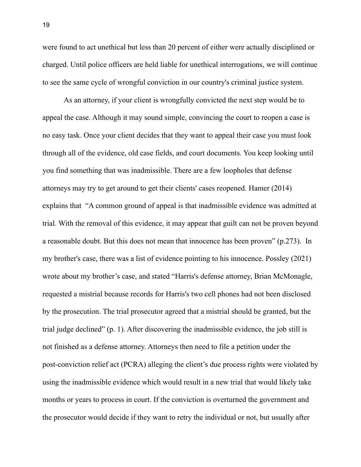were found to act unethical but less than 20 percent of either were actually disciplined or charged. Until police officers are held liable for unethical interrogations, we will continue to see the same cycle of wrongful conviction in our country's criminal justice system.

As an attorney, if your client is wrongfully convicted the next step would be to appeal the case. Although it may sound simple, convincing the court to reopen a case is no easy task. Once your client decides that they want to appeal their case you must look through all of the evidence, old case fields, and court documents. You keep looking until you find something that was inadmissible. There are a few loopholes that defense attorneys may try to get around to get their clients' cases reopened. Hamer (2014) explains that "A common ground of appeal is that inadmissible evidence was admitted at trial. With the removal of this evidence, it may appear that guilt can not be proven beyond a reasonable doubt. But this does not mean that innocence has been proven" (p.273). In my brother's case, there was a list of evidence pointing to his innocence. Possley (2021) wrote about my brother's case, and stated "Harris's defense attorney, Brian McMonagle, requested a mistrial because records for Harris's two cell phones had not been disclosed by the prosecution. The trial prosecutor agreed that a mistrial should be granted, but the trial judge declined" (p. 1). After discovering the inadmissible evidence, the job still is not finished as a defense attorney. Attorneys then need to file a petition under the post-conviction relief act (PCRA) alleging the client's due process rights were violated by using the inadmissible evidence which would result in a new trial that would likely take months or years to process in court. If the conviction is overturned the government and the prosecutor would decide if they want to retry the individual or not, but usually after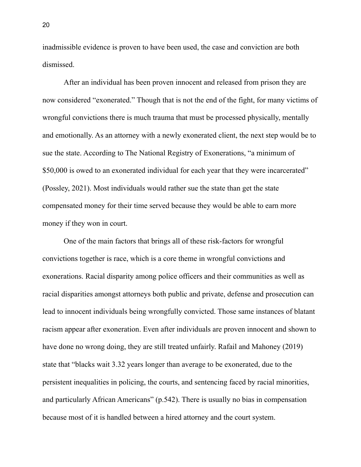inadmissible evidence is proven to have been used, the case and conviction are both dismissed.

After an individual has been proven innocent and released from prison they are now considered "exonerated." Though that is not the end of the fight, for many victims of wrongful convictions there is much trauma that must be processed physically, mentally and emotionally. As an attorney with a newly exonerated client, the next step would be to sue the state. According to The National Registry of Exonerations, "a minimum of \$50,000 is owed to an exonerated individual for each year that they were incarcerated" (Possley, 2021). Most individuals would rather sue the state than get the state compensated money for their time served because they would be able to earn more money if they won in court.

One of the main factors that brings all of these risk-factors for wrongful convictions together is race, which is a core theme in wrongful convictions and exonerations. Racial disparity among police officers and their communities as well as racial disparities amongst attorneys both public and private, defense and prosecution can lead to innocent individuals being wrongfully convicted. Those same instances of blatant racism appear after exoneration. Even after individuals are proven innocent and shown to have done no wrong doing, they are still treated unfairly. Rafail and Mahoney (2019) state that "blacks wait 3.32 years longer than average to be exonerated, due to the persistent inequalities in policing, the courts, and sentencing faced by racial minorities, and particularly African Americans" (p.542). There is usually no bias in compensation because most of it is handled between a hired attorney and the court system.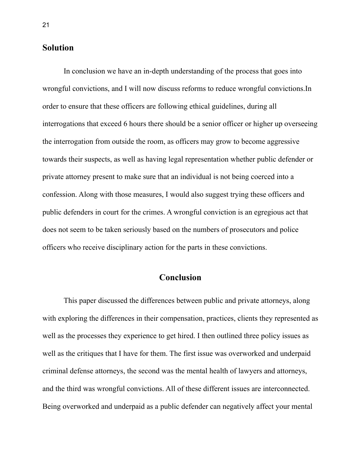#### **Solution**

In conclusion we have an in-depth understanding of the process that goes into wrongful convictions, and I will now discuss reforms to reduce wrongful convictions.In order to ensure that these officers are following ethical guidelines, during all interrogations that exceed 6 hours there should be a senior officer or higher up overseeing the interrogation from outside the room, as officers may grow to become aggressive towards their suspects, as well as having legal representation whether public defender or private attorney present to make sure that an individual is not being coerced into a confession. Along with those measures, I would also suggest trying these officers and public defenders in court for the crimes. A wrongful conviction is an egregious act that does not seem to be taken seriously based on the numbers of prosecutors and police officers who receive disciplinary action for the parts in these convictions.

# **Conclusion**

This paper discussed the differences between public and private attorneys, along with exploring the differences in their compensation, practices, clients they represented as well as the processes they experience to get hired. I then outlined three policy issues as well as the critiques that I have for them. The first issue was overworked and underpaid criminal defense attorneys, the second was the mental health of lawyers and attorneys, and the third was wrongful convictions. All of these different issues are interconnected. Being overworked and underpaid as a public defender can negatively affect your mental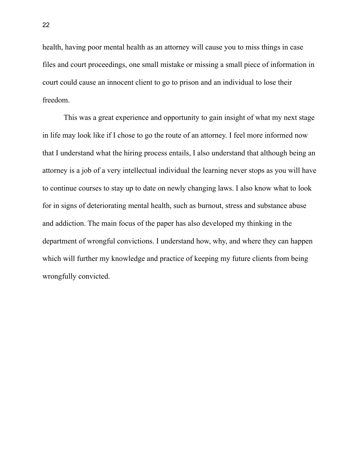health, having poor mental health as an attorney will cause you to miss things in case files and court proceedings, one small mistake or missing a small piece of information in court could cause an innocent client to go to prison and an individual to lose their freedom.

This was a great experience and opportunity to gain insight of what my next stage in life may look like if I chose to go the route of an attorney. I feel more informed now that I understand what the hiring process entails, I also understand that although being an attorney is a job of a very intellectual individual the learning never stops as you will have to continue courses to stay up to date on newly changing laws. I also know what to look for in signs of deteriorating mental health, such as burnout, stress and substance abuse and addiction. The main focus of the paper has also developed my thinking in the department of wrongful convictions. I understand how, why, and where they can happen which will further my knowledge and practice of keeping my future clients from being wrongfully convicted.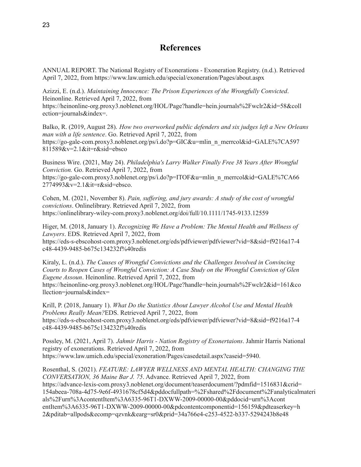## **References**

ANNUAL REPORT. The National Registry of Exonerations - Exoneration Registry. (n.d.). Retrieved April 7, 2022, from https://www.law.umich.edu/special/exoneration/Pages/about.aspx

Azizzi, E. (n.d.). *Maintaining Innocence: The Prison Experiences of the Wrongfully Convicted*. Heinonline. Retrieved April 7, 2022, from https://heinonline-org.proxy3.noblenet.org/HOL/Page?handle=hein.journals%2Fwclr2&id=58&coll ection=journals&index=.

Balko, R. (2019, August 28). *How two overworked public defenders and six judges left a New Orleans man with a life sentence*. Go. Retrieved April 7, 2022, from https://go-gale-com.proxy3.noblenet.org/ps/i.do?p=GIC&u=mlin\_n\_merrcol&id=GALE%7CA597 811589&v=2.1&it=r&sid=ebsco

Business Wire. (2021, May 24). *Philadelphia's Larry Walker Finally Free 38 Years After Wrongful Conviction.* Go. Retrieved April 7, 2022, from https://go-gale-com.proxy3.noblenet.org/ps/i.do?p=ITOF&u=mlin\_n\_merrcol&id=GALE%7CA66 2774993&v=2.1&it=r&sid=ebsco.

Cohen, M. (2021, November 8). *Pain, suf ering, and jury awards: A study of the cost of wrongful convictions*. Onlinelibrary. Retrieved April 7, 2022, from https://onlinelibrary-wiley-com.proxy3.noblenet.org/doi/full/10.1111/1745-9133.12559

Higer, M. (2018, January 1). *Recognizing We Have a Problem: The Mental Health and Wellness of Lawyers*. EDS. Retrieved April 7, 2022, from https://eds-s-ebscohost-com.proxy3.noblenet.org/eds/pdfviewer/pdfviewer?vid=8&sid=f9216a17-4 c48-4439-9485-b675c134232f%40redis

Kiraly, L. (n.d.). *The Causes of Wrongful Convictions and the Challenges Involved in Convincing Courts to Reopen Cases of Wrongful Conviction: A Case Study on the Wrongful Conviction of Glen Eugene Assoun*. Heinonline. Retrieved April 7, 2022, from https://heinonline-org.proxy3.noblenet.org/HOL/Page?handle=hein.journals%2Fwclr2&id=161&co llection=journals&index=

Krill, P. (2018, January 1). *What Do the Statistics About Lawyer Alcohol Use and Mental Health Problems Really Mean?*EDS. Retrieved April 7, 2022, from https://eds-s-ebscohost-com.proxy3.noblenet.org/eds/pdfviewer/pdfviewer?vid=8&sid=f9216a17-4 c48-4439-9485-b675c134232f%40redis

Possley, M. (2021, April 7). *Jahmir Harris - Nation Registry of Exonertaions*. Jahmir Harris National registry of exonerations. Retrieved April 7, 2022, from https://www.law.umich.edu/special/exoneration/Pages/casedetail.aspx?caseid=5940.

Rosenthal, S. (2021). *FEATURE: LAWYER WELLNESS AND MENTAL HEALTH: CHANGING THE CONVERSATION, 36 Maine Bar J. 75*. Advance. Retrieved April 7, 2022, from https://advance-lexis-com.proxy3.noblenet.org/document/teaserdocument/?pdmfid=1516831&crid= 154abeea-708a-4d75-9e6f-4931678cf5d4&pddocfullpath=%2Fshared%2Fdocument%2Fanalyticalmateri als%2Furn%3AcontentItem%3A6335-96T1-DXWW-2009-00000-00&pddocid=urn%3Acont entItem%3A6335-96T1-DXWW-2009-00000-00&pdcontentcomponentid=156159&pdteaserkey=h 2&pditab=allpods&ecomp=qzvnk&earg=sr0&prid=34a766e4-c253-4522-b337-5294243b8e48